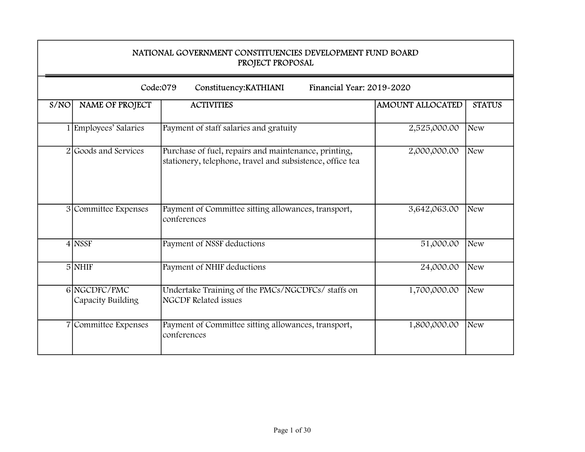| NATIONAL GOVERNMENT CONSTITUENCIES DEVELOPMENT FUND BOARD<br>PROJECT PROPOSAL |                                                                                                                   |                         |               |
|-------------------------------------------------------------------------------|-------------------------------------------------------------------------------------------------------------------|-------------------------|---------------|
|                                                                               | Code:079<br>Financial Year: 2019-2020<br>Constituency: KATHIANI                                                   |                         |               |
| S/NO<br><b>NAME OF PROJECT</b>                                                | <b>ACTIVITIES</b>                                                                                                 | <b>AMOUNT ALLOCATED</b> | <b>STATUS</b> |
| 1 Employees' Salaries                                                         | Payment of staff salaries and gratuity                                                                            | 2,525,000.00            | <b>New</b>    |
| 2 Goods and Services                                                          | Purchase of fuel, repairs and maintenance, printing,<br>stationery, telephone, travel and subsistence, office tea | 2,000,000.00            | <b>New</b>    |
| 3 Committee Expenses                                                          | Payment of Committee sitting allowances, transport,<br>conferences                                                | 3,642,063.00            | <b>New</b>    |
| $4$ NSSF                                                                      | Payment of NSSF deductions                                                                                        | 51,000.00               | New           |
| $5$ NHIF                                                                      | Payment of NHIF deductions                                                                                        | 24,000.00               | New           |
| 6 NGCDFC/PMC<br>Capacity Building                                             | Undertake Training of the PMCs/NGCDFCs/ staffs on<br><b>NGCDF</b> Related issues                                  | 1,700,000.00            | <b>New</b>    |
| 7 Committee Expenses                                                          | Payment of Committee sitting allowances, transport,<br>conferences                                                | 1,800,000.00            | New           |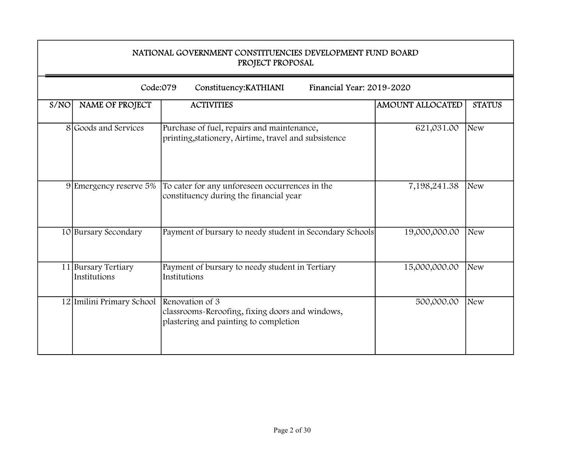|      | NATIONAL GOVERNMENT CONSTITUENCIES DEVELOPMENT FUND BOARD<br>PROJECT PROPOSAL |                                                                                                             |                         |               |
|------|-------------------------------------------------------------------------------|-------------------------------------------------------------------------------------------------------------|-------------------------|---------------|
|      | Code:079                                                                      | Constituency: KATHIANI<br>Financial Year: 2019-2020                                                         |                         |               |
| S/NO | NAME OF PROJECT                                                               | <b>ACTIVITIES</b>                                                                                           | <b>AMOUNT ALLOCATED</b> | <b>STATUS</b> |
|      | 8 Goods and Services                                                          | Purchase of fuel, repairs and maintenance,<br>printing, stationery, Airtime, travel and subsistence         | 621,031.00              | New           |
|      | 9 Emergency reserve 5%                                                        | To cater for any unforeseen occurrences in the<br>constituency during the financial year                    | 7,198,241.38            | <b>New</b>    |
|      | 10 Bursary Secondary                                                          | Payment of bursary to needy student in Secondary Schools                                                    | 19,000,000.00           | <b>New</b>    |
|      | 11 Bursary Tertiary<br>Institutions                                           | Payment of bursary to needy student in Tertiary<br>Institutions                                             | 15,000,000.00           | <b>New</b>    |
|      | 12 Imilini Primary School                                                     | Renovation of 3<br>classrooms-Reroofing, fixing doors and windows,<br>plastering and painting to completion | 500,000.00              | <b>New</b>    |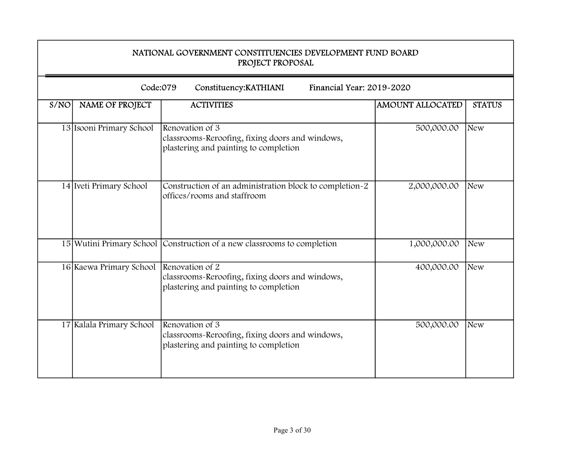|      | NATIONAL GOVERNMENT CONSTITUENCIES DEVELOPMENT FUND BOARD<br>PROJECT PROPOSAL |                                                                                                             |                         |               |  |
|------|-------------------------------------------------------------------------------|-------------------------------------------------------------------------------------------------------------|-------------------------|---------------|--|
|      | Code:079                                                                      | Constituency: KATHIANI<br>Financial Year: 2019-2020                                                         |                         |               |  |
| S/NO | NAME OF PROJECT                                                               | <b>ACTIVITIES</b>                                                                                           | <b>AMOUNT ALLOCATED</b> | <b>STATUS</b> |  |
|      | 13 Isooni Primary School                                                      | Renovation of 3<br>classrooms-Reroofing, fixing doors and windows,<br>plastering and painting to completion | 500,000.00              | <b>New</b>    |  |
|      | 14 Iveti Primary School                                                       | Construction of an administration block to completion-2<br>offices/rooms and staffroom                      | 2,000,000.00            | <b>New</b>    |  |
|      |                                                                               | 15 Wutini Primary School Construction of a new classrooms to completion                                     | 1,000,000.00            | <b>New</b>    |  |
|      | 16 Kaewa Primary School                                                       | Renovation of 2<br>classrooms-Reroofing, fixing doors and windows,<br>plastering and painting to completion | 400,000.00              | New           |  |
|      | 17 Kalala Primary School                                                      | Renovation of 3<br>classrooms-Reroofing, fixing doors and windows,<br>plastering and painting to completion | 500,000.00              | <b>New</b>    |  |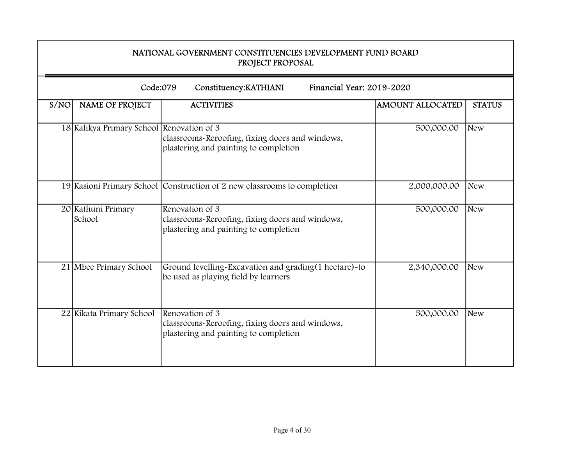|      | NATIONAL GOVERNMENT CONSTITUENCIES DEVELOPMENT FUND BOARD<br>PROJECT PROPOSAL |                                                                                                             |                         |               |
|------|-------------------------------------------------------------------------------|-------------------------------------------------------------------------------------------------------------|-------------------------|---------------|
|      | Code:079                                                                      | Financial Year: 2019-2020<br>Constituency: KATHIANI                                                         |                         |               |
| S/NO | NAME OF PROJECT                                                               | <b>ACTIVITIES</b>                                                                                           | <b>AMOUNT ALLOCATED</b> | <b>STATUS</b> |
|      | 18 Kalikya Primary School Renovation of 3                                     | classrooms-Reroofing, fixing doors and windows,<br>plastering and painting to completion                    | 500,000.00              | <b>New</b>    |
|      |                                                                               | 19 Kasioni Primary School Construction of 2 new classrooms to completion                                    | 2,000,000.00            | <b>New</b>    |
|      | 20 Kathuni Primary<br>School                                                  | Renovation of 3<br>classrooms-Reroofing, fixing doors and windows,<br>plastering and painting to completion | 500,000.00              | New           |
|      | 21 Mbee Primary School                                                        | Ground levelling-Excavation and grading(1 hectare)-to<br>be used as playing field by learners               | 2,340,000.00            | <b>New</b>    |
|      | 22 Kikata Primary School                                                      | Renovation of 3<br>classrooms-Reroofing, fixing doors and windows,<br>plastering and painting to completion | 500,000.00              | <b>New</b>    |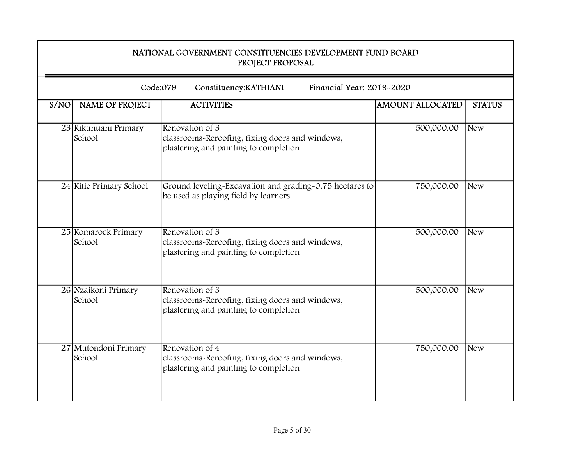|      | NATIONAL GOVERNMENT CONSTITUENCIES DEVELOPMENT FUND BOARD<br>PROJECT PROPOSAL |                                                                                                             |                         |               |  |
|------|-------------------------------------------------------------------------------|-------------------------------------------------------------------------------------------------------------|-------------------------|---------------|--|
|      |                                                                               | Code:079<br>Financial Year: 2019-2020<br>Constituency: KATHIANI                                             |                         |               |  |
| S/NO | NAME OF PROJECT                                                               | <b>ACTIVITIES</b>                                                                                           | <b>AMOUNT ALLOCATED</b> | <b>STATUS</b> |  |
|      | 23 Kikunuani Primary<br>School                                                | Renovation of 3<br>classrooms-Reroofing, fixing doors and windows,<br>plastering and painting to completion | 500,000.00              | New           |  |
|      | 24 Kitie Primary School                                                       | Ground leveling-Excavation and grading-0.75 hectares to<br>be used as playing field by learners             | 750,000.00              | <b>New</b>    |  |
|      | 25 Komarock Primary<br>School                                                 | Renovation of 3<br>classrooms-Reroofing, fixing doors and windows,<br>plastering and painting to completion | 500,000.00              | <b>New</b>    |  |
|      | 26 Nzaikoni Primary<br>School                                                 | Renovation of 3<br>classrooms-Reroofing, fixing doors and windows,<br>plastering and painting to completion | 500,000.00              | <b>New</b>    |  |
|      | 27 Mutondoni Primary<br>School                                                | Renovation of 4<br>classrooms-Reroofing, fixing doors and windows,<br>plastering and painting to completion | 750,000.00              | <b>New</b>    |  |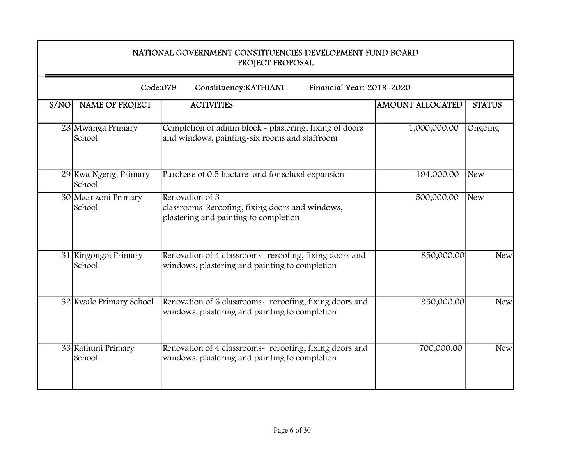|      | NATIONAL GOVERNMENT CONSTITUENCIES DEVELOPMENT FUND BOARD<br>PROJECT PROPOSAL |                                                                                                             |                         |               |
|------|-------------------------------------------------------------------------------|-------------------------------------------------------------------------------------------------------------|-------------------------|---------------|
|      |                                                                               | Code:079<br>Financial Year: 2019-2020<br>Constituency: KATHIANI                                             |                         |               |
| S/NO | NAME OF PROJECT                                                               | <b>ACTIVITIES</b>                                                                                           | <b>AMOUNT ALLOCATED</b> | <b>STATUS</b> |
|      | 28 Mwanga Primary<br>School                                                   | Completion of admin block - plastering, fixing of doors<br>and windows, painting-six rooms and staffroom    | 1,000,000.00            | Ongoing       |
|      | 29 Kwa Ngengi Primary<br>School                                               | Purchase of 0.5 hactare land for school expansion                                                           | 194,000.00              | <b>New</b>    |
|      | 30 Maanzoni Primary<br>School                                                 | Renovation of 3<br>classrooms-Reroofing, fixing doors and windows,<br>plastering and painting to completion | 500,000.00              | New           |
|      | 31 Kingongoi Primary<br>School                                                | Renovation of 4 classrooms- reroofing, fixing doors and<br>windows, plastering and painting to completion   | 850,000.00              | <b>New</b>    |
|      | 32 Kwale Primary School                                                       | Renovation of 6 classrooms- reroofing, fixing doors and<br>windows, plastering and painting to completion   | 950,000.00              | <b>New</b>    |
|      | 33 Kathuni Primary<br>School                                                  | Renovation of 4 classrooms- reroofing, fixing doors and<br>windows, plastering and painting to completion   | 700,000.00              | <b>New</b>    |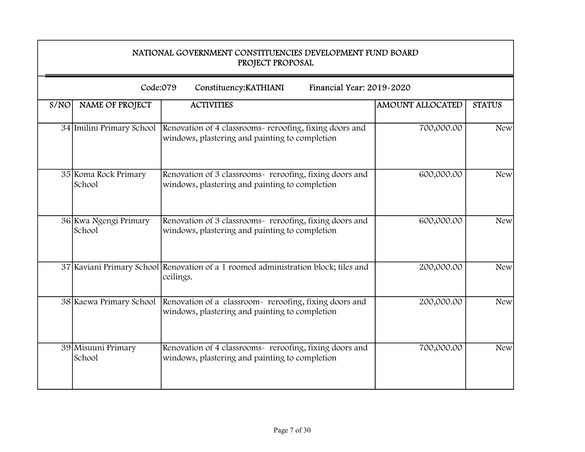|      | NATIONAL GOVERNMENT CONSTITUENCIES DEVELOPMENT FUND BOARD<br>PROJECT PROPOSAL |                                                                                                                                     |                         |               |
|------|-------------------------------------------------------------------------------|-------------------------------------------------------------------------------------------------------------------------------------|-------------------------|---------------|
|      | Code:079                                                                      | Financial Year: 2019-2020<br>Constituency: KATHIANI                                                                                 |                         |               |
| S/NO | NAME OF PROJECT                                                               | <b>ACTIVITIES</b>                                                                                                                   | <b>AMOUNT ALLOCATED</b> | <b>STATUS</b> |
|      |                                                                               | 34 Imilini Primary School Renovation of 4 classrooms- reroofing, fixing doors and<br>windows, plastering and painting to completion | 700,000.00              | <b>New</b>    |
|      | 35 Koma Rock Primary<br>School                                                | Renovation of 3 classrooms- reroofing, fixing doors and<br>windows, plastering and painting to completion                           | 600,000.00              | <b>New</b>    |
|      | 36 Kwa Ngengi Primary<br>School                                               | Renovation of 3 classrooms- reroofing, fixing doors and<br>windows, plastering and painting to completion                           | 600,000.00              | <b>New</b>    |
|      |                                                                               | 37 Kaviani Primary School Renovation of a 1 roomed administration block; tiles and<br>ceilings.                                     | 200,000.00              | <b>New</b>    |
|      | 38 Kaewa Primary School                                                       | Renovation of a classroom - reroofing, fixing doors and<br>windows, plastering and painting to completion                           | 200,000.00              | <b>New</b>    |
|      | 39 Misuuni Primary<br>School                                                  | Renovation of 4 classrooms- reroofing, fixing doors and<br>windows, plastering and painting to completion                           | 700,000.00              | <b>New</b>    |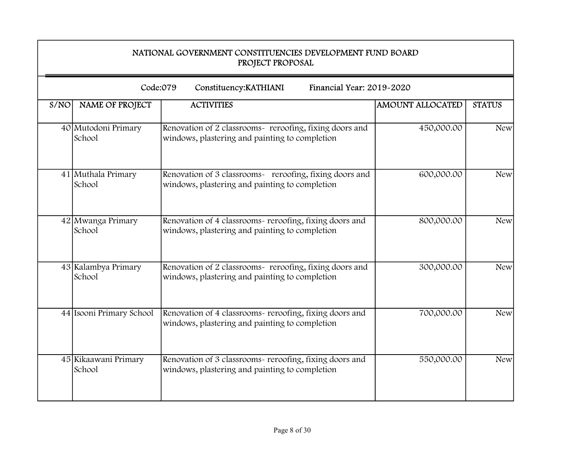|      | NATIONAL GOVERNMENT CONSTITUENCIES DEVELOPMENT FUND BOARD<br>PROJECT PROPOSAL |                                                                                                           |                         |               |  |
|------|-------------------------------------------------------------------------------|-----------------------------------------------------------------------------------------------------------|-------------------------|---------------|--|
|      | Code:079<br>Financial Year: 2019-2020<br>Constituency: KATHIANI               |                                                                                                           |                         |               |  |
| S/NO | NAME OF PROJECT                                                               | <b>ACTIVITIES</b>                                                                                         | <b>AMOUNT ALLOCATED</b> | <b>STATUS</b> |  |
|      | 40 Mutodoni Primary<br>School                                                 | Renovation of 2 classrooms- reroofing, fixing doors and<br>windows, plastering and painting to completion | 450,000.00              | <b>New</b>    |  |
|      | 41 Muthala Primary<br>School                                                  | Renovation of 3 classrooms- reroofing, fixing doors and<br>windows, plastering and painting to completion | 600,000.00              | <b>New</b>    |  |
|      | 42 Mwanga Primary<br>School                                                   | Renovation of 4 classrooms- reroofing, fixing doors and<br>windows, plastering and painting to completion | 800,000.00              | <b>New</b>    |  |
|      | 43 Kalambya Primary<br>School                                                 | Renovation of 2 classrooms- reroofing, fixing doors and<br>windows, plastering and painting to completion | 300,000.00              | <b>New</b>    |  |
|      | 44 Isooni Primary School                                                      | Renovation of 4 classrooms- reroofing, fixing doors and<br>windows, plastering and painting to completion | 700,000.00              | <b>New</b>    |  |
|      | 45 Kikaawani Primary<br>School                                                | Renovation of 3 classrooms- reroofing, fixing doors and<br>windows, plastering and painting to completion | 550,000.00              | <b>New</b>    |  |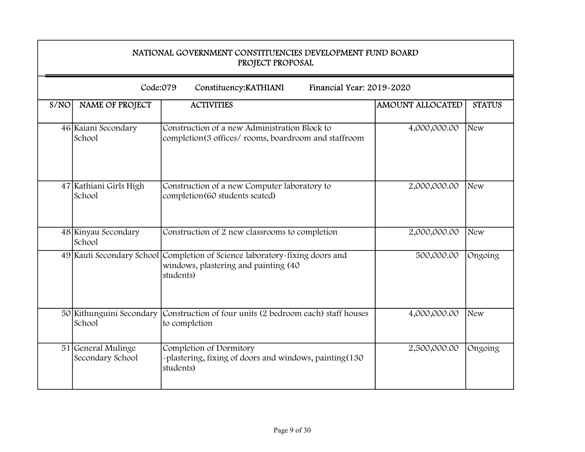|      | NATIONAL GOVERNMENT CONSTITUENCIES DEVELOPMENT FUND BOARD<br>PROJECT PROPOSAL |                                                                                                                                  |                         |               |
|------|-------------------------------------------------------------------------------|----------------------------------------------------------------------------------------------------------------------------------|-------------------------|---------------|
|      | Code:079                                                                      | Financial Year: 2019-2020<br>Constituency: KATHIANI                                                                              |                         |               |
| S/NO | <b>NAME OF PROJECT</b>                                                        | <b>ACTIVITIES</b>                                                                                                                | <b>AMOUNT ALLOCATED</b> | <b>STATUS</b> |
|      | 46 Kaiani Secondary<br>School                                                 | Construction of a new Administration Block to<br>completion(3 offices/ rooms, boardroom and staffroom                            | 4,000,000.00            | New           |
|      | 47 Kathiani Girls High<br>School                                              | Construction of a new Computer laboratory to<br>completion(60 students seated)                                                   | 2,000,000.00            | <b>New</b>    |
|      | 48 Kinyau Secondary<br>School                                                 | Construction of 2 new classrooms to completion                                                                                   | 2,000,000.00            | New           |
|      |                                                                               | 49 Kauti Secondary School Completion of Science laboratory-fixing doors and<br>windows, plastering and painting (40<br>students) | 500,000.00              | Ongoing       |
|      | 50 Kithunguini Secondary<br>School                                            | Construction of four units (2 bedroom each) staff houses<br>to completion                                                        | 4,000,000.00            | New           |
|      | 51 General Mulinge<br>Secondary School                                        | Completion of Dormitory<br>-plastering, fixing of doors and windows, painting(130<br>students)                                   | 2,500,000.00            | Ongoing       |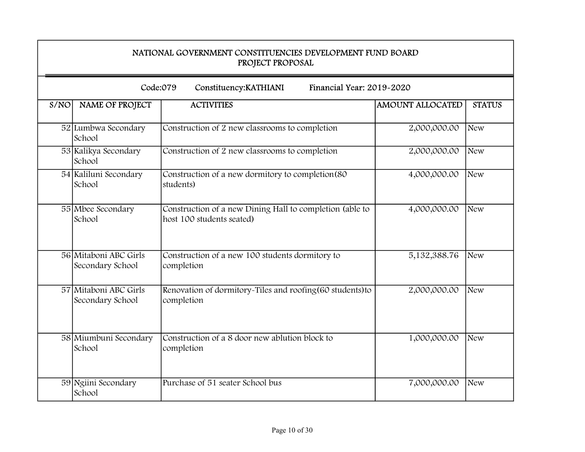|      | NATIONAL GOVERNMENT CONSTITUENCIES DEVELOPMENT FUND BOARD<br>PROJECT PROPOSAL |                                                                                       |                         |               |
|------|-------------------------------------------------------------------------------|---------------------------------------------------------------------------------------|-------------------------|---------------|
|      | Code:079                                                                      | Financial Year: 2019-2020<br>Constituency: KATHIANI                                   |                         |               |
| S/NO | <b>NAME OF PROJECT</b>                                                        | <b>ACTIVITIES</b>                                                                     | <b>AMOUNT ALLOCATED</b> | <b>STATUS</b> |
|      | 52 Lumbwa Secondary<br>School                                                 | Construction of 2 new classrooms to completion                                        | 2,000,000.00            | <b>New</b>    |
|      | 53 Kalikya Secondary<br>School                                                | Construction of 2 new classrooms to completion                                        | 2,000,000.00            | <b>New</b>    |
|      | 54 Kaliluni Secondary<br>School                                               | Construction of a new dormitory to completion(80<br>students)                         | 4,000,000.00            | New           |
|      | 55 Mbee Secondary<br>School                                                   | Construction of a new Dining Hall to completion (able to<br>host 100 students seated) | 4,000,000.00            | <b>New</b>    |
|      | 56 Mitaboni ABC Girls<br>Secondary School                                     | Construction of a new 100 students dormitory to<br>completion                         | 5,132,388.76            | <b>New</b>    |
|      | 57 Mitaboni ABC Girls<br>Secondary School                                     | Renovation of dormitory-Tiles and roofing (60 students) to<br>completion              | 2,000,000.00            | <b>New</b>    |
|      | 58 Miumbuni Secondary<br>School                                               | Construction of a 8 door new ablution block to<br>completion                          | 1,000,000.00            | <b>New</b>    |
|      | 59 Ngiini Secondary<br>School                                                 | Purchase of 51 seater School bus                                                      | 7,000,000.00            | New           |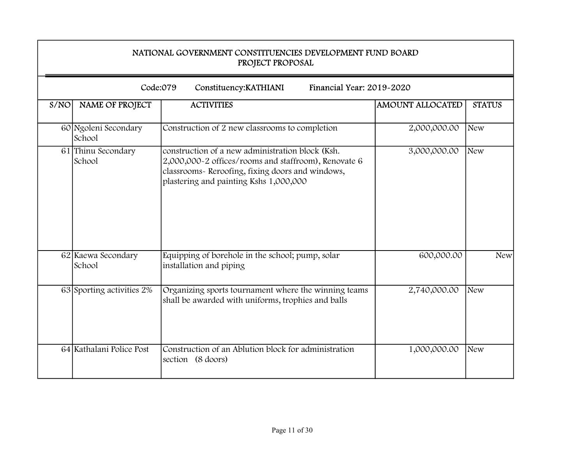|      | NATIONAL GOVERNMENT CONSTITUENCIES DEVELOPMENT FUND BOARD<br>PROJECT PROPOSAL |                                                                                                                                                                                                        |                         |               |  |
|------|-------------------------------------------------------------------------------|--------------------------------------------------------------------------------------------------------------------------------------------------------------------------------------------------------|-------------------------|---------------|--|
|      |                                                                               | Code:079<br>Financial Year: 2019-2020<br>Constituency: KATHIANI                                                                                                                                        |                         |               |  |
| S/NO | NAME OF PROJECT                                                               | <b>ACTIVITIES</b>                                                                                                                                                                                      | <b>AMOUNT ALLOCATED</b> | <b>STATUS</b> |  |
|      | 60 Ngoleni Secondary<br>School                                                | Construction of 2 new classrooms to completion                                                                                                                                                         | 2,000,000.00            | New           |  |
|      | 61 Thinu Secondary<br>School                                                  | construction of a new administration block (Ksh.<br>2,000,000-2 offices/rooms and staffroom), Renovate 6<br>classrooms- Reroofing, fixing doors and windows,<br>plastering and painting Kshs 1,000,000 | 3,000,000.00            | New           |  |
|      | 62 Kaewa Secondary<br>School                                                  | Equipping of borehole in the school; pump, solar<br>installation and piping                                                                                                                            | 600,000.00              | <b>New</b>    |  |
|      | 63 Sporting activities 2%                                                     | Organizing sports tournament where the winning teams<br>shall be awarded with uniforms, trophies and balls                                                                                             | 2,740,000.00            | <b>New</b>    |  |
|      | 64 Kathalani Police Post                                                      | Construction of an Ablution block for administration<br>section (8 doors)                                                                                                                              | 1,000,000.00            | <b>New</b>    |  |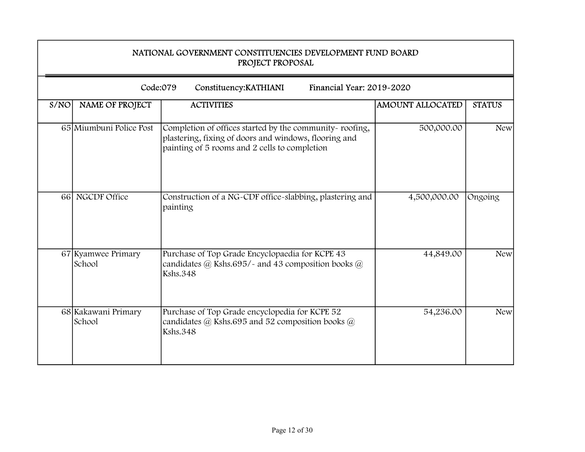|      | NATIONAL GOVERNMENT CONSTITUENCIES DEVELOPMENT FUND BOARD<br>PROJECT PROPOSAL |                                                                                                                                                                   |                         |                  |  |
|------|-------------------------------------------------------------------------------|-------------------------------------------------------------------------------------------------------------------------------------------------------------------|-------------------------|------------------|--|
|      |                                                                               | Code:079<br>Financial Year: 2019-2020<br>Constituency: KATHIANI                                                                                                   |                         |                  |  |
| S/NO | NAME OF PROJECT                                                               | <b>ACTIVITIES</b>                                                                                                                                                 | <b>AMOUNT ALLOCATED</b> | <b>STATUS</b>    |  |
|      | 65 Miumbuni Police Post                                                       | Completion of offices started by the community-roofing,<br>plastering, fixing of doors and windows, flooring and<br>painting of 5 rooms and 2 cells to completion | 500,000.00              | New <sup>1</sup> |  |
|      | 66 NGCDF Office                                                               | Construction of a NG-CDF office-slabbing, plastering and<br>painting                                                                                              | 4,500,000.00            | Ongoing          |  |
|      | 67 Kyamwee Primary<br>School                                                  | Purchase of Top Grade Encyclopaedia for KCPE 43<br>candidates $@$ Kshs.695/- and 43 composition books $@$<br><b>Kshs.348</b>                                      | 44,849.00               | <b>New</b>       |  |
|      | 68 Kakawani Primary<br>School                                                 | Purchase of Top Grade encyclopedia for KCPE 52<br>candidates $\omega$ Kshs.695 and 52 composition books $\omega$<br><b>Kshs.348</b>                               | 54,236.00               | <b>New</b>       |  |

7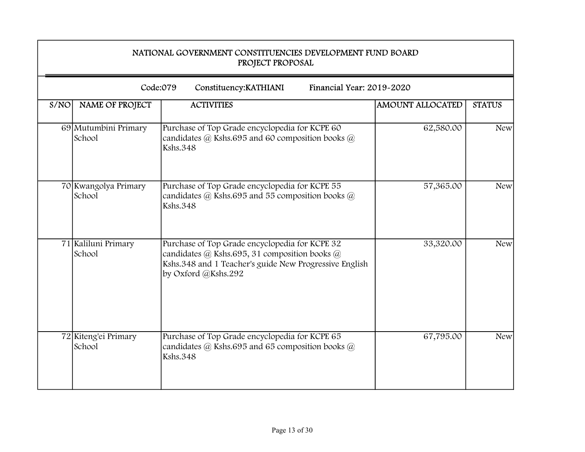|      | NATIONAL GOVERNMENT CONSTITUENCIES DEVELOPMENT FUND BOARD<br>PROJECT PROPOSAL |                                                                                                                                                                                  |                         |               |  |  |
|------|-------------------------------------------------------------------------------|----------------------------------------------------------------------------------------------------------------------------------------------------------------------------------|-------------------------|---------------|--|--|
|      | Code:079<br>Financial Year: 2019-2020<br>Constituency: KATHIANI               |                                                                                                                                                                                  |                         |               |  |  |
| S/NO | NAME OF PROJECT                                                               | <b>ACTIVITIES</b>                                                                                                                                                                | <b>AMOUNT ALLOCATED</b> | <b>STATUS</b> |  |  |
|      | 69 Mutumbini Primary<br>School                                                | Purchase of Top Grade encyclopedia for KCPE 60<br>candidates $\omega$ Kshs.695 and 60 composition books $\omega$<br><b>Kshs.348</b>                                              | 62,580.00               | <b>New</b>    |  |  |
|      | 70 Kwangolya Primary<br>School                                                | Purchase of Top Grade encyclopedia for KCPE 55<br>candidates $\omega$ Kshs.695 and 55 composition books $\omega$<br><b>Kshs.348</b>                                              | 57,365.00               | <b>New</b>    |  |  |
|      | 71 Kaliluni Primary<br>School                                                 | Purchase of Top Grade encyclopedia for KCPE 32<br>candidates @ Kshs.695, 31 composition books @<br>Kshs.348 and 1 Teacher's guide New Progressive English<br>by Oxford @Kshs.292 | 33,320.00               | <b>New</b>    |  |  |
|      | 72 Kiteng'ei Primary<br>School                                                | Purchase of Top Grade encyclopedia for KCPE 65<br>candidates $\omega$ Kshs.695 and 65 composition books $\omega$<br><b>Kshs.348</b>                                              | 67,795.00               | <b>New</b>    |  |  |

÷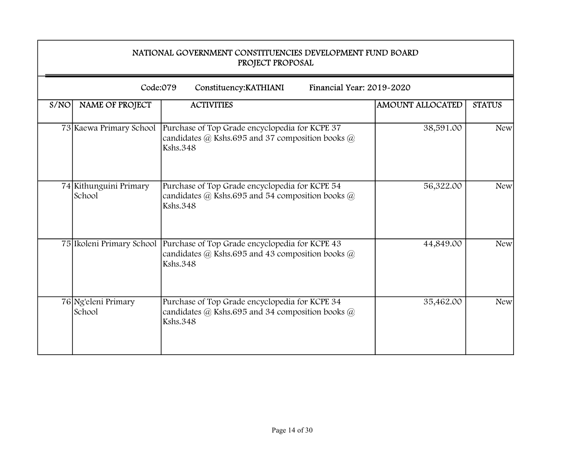|      | NATIONAL GOVERNMENT CONSTITUENCIES DEVELOPMENT FUND BOARD<br>PROJECT PROPOSAL |                                                                                                                                     |                         |               |
|------|-------------------------------------------------------------------------------|-------------------------------------------------------------------------------------------------------------------------------------|-------------------------|---------------|
|      | Code:079                                                                      | Financial Year: 2019-2020<br>Constituency: KATHIANI                                                                                 |                         |               |
| S/NO | <b>NAME OF PROJECT</b>                                                        | <b>ACTIVITIES</b>                                                                                                                   | <b>AMOUNT ALLOCATED</b> | <b>STATUS</b> |
|      | 73 Kaewa Primary School                                                       | Purchase of Top Grade encyclopedia for KCPE 37<br>candidates $\omega$ Kshs.695 and 37 composition books $\omega$<br><b>Kshs.348</b> | 38,591.00               | <b>New</b>    |
|      | 74 Kithunguini Primary<br>School                                              | Purchase of Top Grade encyclopedia for KCPE 54<br>candidates $@$ Kshs.695 and 54 composition books $@$<br><b>Kshs.348</b>           | 56,322.00               | <b>New</b>    |
|      | 75 Ikoleni Primary School                                                     | Purchase of Top Grade encyclopedia for KCPE 43<br>candidates $@$ Kshs.695 and 43 composition books $@$<br><b>Kshs.348</b>           | 44,849.00               | <b>New</b>    |
|      | 76 Ng'eleni Primary<br>School                                                 | Purchase of Top Grade encyclopedia for KCPE 34<br>candidates $(a)$ Kshs.695 and 34 composition books $(a)$<br><b>Kshs.348</b>       | 35,462.00               | <b>New</b>    |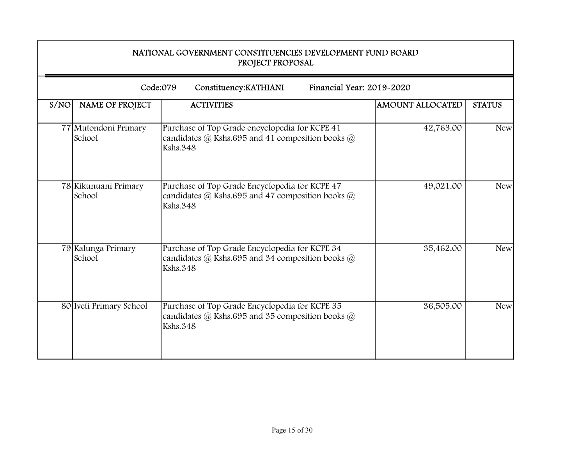|      | NATIONAL GOVERNMENT CONSTITUENCIES DEVELOPMENT FUND BOARD<br>PROJECT PROPOSAL |                                                                                                                                     |                         |               |
|------|-------------------------------------------------------------------------------|-------------------------------------------------------------------------------------------------------------------------------------|-------------------------|---------------|
|      |                                                                               | Code:079<br>Financial Year: 2019-2020<br>Constituency: KATHIANI                                                                     |                         |               |
| S/NO | NAME OF PROJECT                                                               | <b>ACTIVITIES</b>                                                                                                                   | <b>AMOUNT ALLOCATED</b> | <b>STATUS</b> |
|      | 77 Mutondoni Primary<br>School                                                | Purchase of Top Grade encyclopedia for KCPE 41<br>candidates $\omega$ Kshs.695 and 41 composition books $\omega$<br><b>Kshs.348</b> | 42,763.00               | <b>New</b>    |
|      | 78 Kikunuani Primary<br>School                                                | Purchase of Top Grade Encyclopedia for KCPE 47<br>candidates $(a)$ Kshs.695 and 47 composition books $(a)$<br><b>Kshs.348</b>       | 49,021.00               | <b>New</b>    |
|      | 79 Kalunga Primary<br>School                                                  | Purchase of Top Grade Encyclopedia for KCPE 34<br>candidates @ Kshs.695 and 34 composition books @<br><b>Kshs.348</b>               | 35,462.00               | <b>New</b>    |
|      | 80 Iveti Primary School                                                       | Purchase of Top Grade Encyclopedia for KCPE 35<br>candidates @ Kshs.695 and 35 composition books @<br><b>Kshs.348</b>               | 36,505.00               | <b>New</b>    |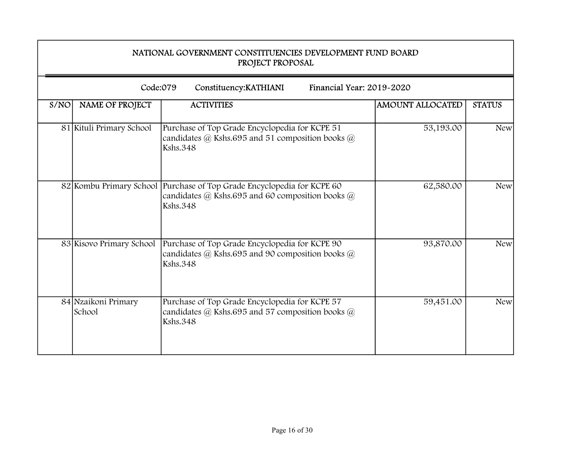|      | NATIONAL GOVERNMENT CONSTITUENCIES DEVELOPMENT FUND BOARD<br>PROJECT PROPOSAL |                                                                                                                                                   |                         |               |
|------|-------------------------------------------------------------------------------|---------------------------------------------------------------------------------------------------------------------------------------------------|-------------------------|---------------|
|      | Code:079                                                                      | Financial Year: 2019-2020<br>Constituency: KATHIANI                                                                                               |                         |               |
| S/NO | <b>NAME OF PROJECT</b>                                                        | <b>ACTIVITIES</b>                                                                                                                                 | <b>AMOUNT ALLOCATED</b> | <b>STATUS</b> |
|      | 81 Kituli Primary School                                                      | Purchase of Top Grade Encyclopedia for KCPE 51<br>candidates @ Kshs.695 and 51 composition books @<br><b>Kshs.348</b>                             | 53,193.00               | <b>New</b>    |
|      |                                                                               | 82 Kombu Primary School Purchase of Top Grade Encyclopedia for KCPE 60<br>candidates $@$ Kshs.695 and 60 composition books $@$<br><b>Kshs.348</b> | 62,580.00               | <b>New</b>    |
|      | 83 Kisovo Primary School                                                      | Purchase of Top Grade Encyclopedia for KCPE 90<br>candidates @ Kshs.695 and 90 composition books @<br><b>Kshs.348</b>                             | 93,870.00               | <b>New</b>    |
|      | 84 Nzaikoni Primary<br>School                                                 | Purchase of Top Grade Encyclopedia for KCPE 57<br>candidates @ Kshs.695 and 57 composition books @<br><b>Kshs.348</b>                             | 59,451.00               | <b>New</b>    |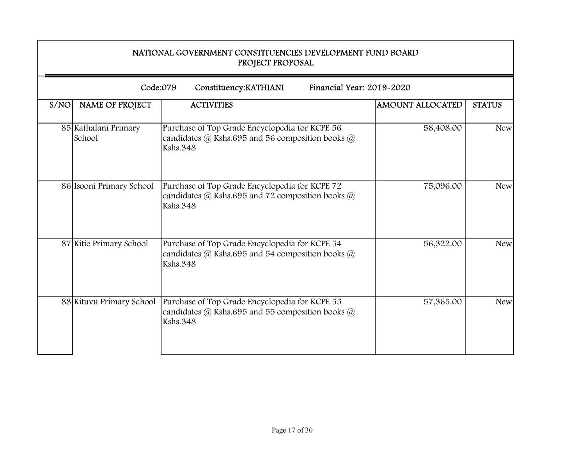|      | NATIONAL GOVERNMENT CONSTITUENCIES DEVELOPMENT FUND BOARD<br>PROJECT PROPOSAL |                                                                                                                           |                         |               |  |
|------|-------------------------------------------------------------------------------|---------------------------------------------------------------------------------------------------------------------------|-------------------------|---------------|--|
|      | Code:079                                                                      | Financial Year: 2019-2020<br>Constituency: KATHIANI                                                                       |                         |               |  |
| S/NO | <b>NAME OF PROJECT</b>                                                        | <b>ACTIVITIES</b>                                                                                                         | <b>AMOUNT ALLOCATED</b> | <b>STATUS</b> |  |
|      | 85 Kathalani Primary<br>School                                                | Purchase of Top Grade Encyclopedia for KCPE 56<br>candidates @ Kshs.695 and 56 composition books @<br><b>Kshs.348</b>     | 58,408.00               | <b>New</b>    |  |
|      | 86 Isooni Primary School                                                      | Purchase of Top Grade Encyclopedia for KCPE 72<br>candidates $@$ Kshs.695 and 72 composition books $@$<br><b>Kshs.348</b> | 75,096.00               | <b>New</b>    |  |
|      | 87 Kitie Primary School                                                       | Purchase of Top Grade Encyclopedia for KCPE 54<br>candidates @ Kshs.695 and 54 composition books @<br><b>Kshs.348</b>     | 56,322.00               | <b>New</b>    |  |
|      | 88 Kituvu Primary School                                                      | Purchase of Top Grade Encyclopedia for KCPE 55<br>candidates @ Kshs.695 and 55 composition books @<br><b>Kshs.348</b>     | 57,365.00               | <b>New</b>    |  |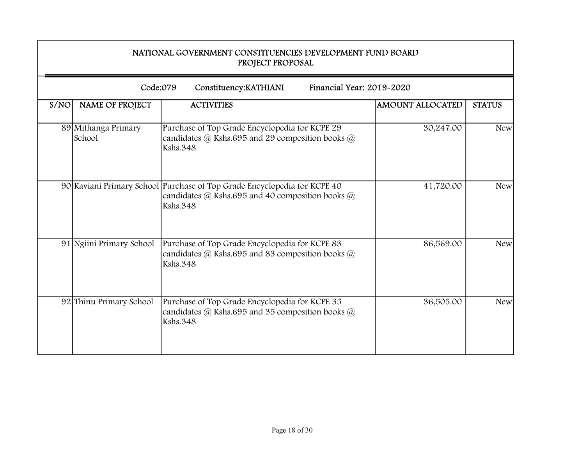|      | NATIONAL GOVERNMENT CONSTITUENCIES DEVELOPMENT FUND BOARD<br>PROJECT PROPOSAL |                                                                                                                                                     |                         |               |
|------|-------------------------------------------------------------------------------|-----------------------------------------------------------------------------------------------------------------------------------------------------|-------------------------|---------------|
|      | Code:079                                                                      | Financial Year: 2019-2020<br>Constituency: KATHIANI                                                                                                 |                         |               |
| S/NO | <b>NAME OF PROJECT</b>                                                        | <b>ACTIVITIES</b>                                                                                                                                   | <b>AMOUNT ALLOCATED</b> | <b>STATUS</b> |
|      | 89 Mithanga Primary<br>School                                                 | Purchase of Top Grade Encyclopedia for KCPE 29<br>candidates $\omega$ Kshs.695 and 29 composition books $\omega$<br><b>Kshs.348</b>                 | 30,247.00               | <b>New</b>    |
|      |                                                                               | 90 Kaviani Primary School Purchase of Top Grade Encyclopedia for KCPE 40<br>candidates $@$ Kshs.695 and 40 composition books $@$<br><b>Kshs.348</b> | 41,720.00               | <b>New</b>    |
|      | 91 Ngiini Primary School                                                      | Purchase of Top Grade Encyclopedia for KCPE 83<br>candidates @ Kshs.695 and 83 composition books @<br><b>Kshs.348</b>                               | 86,569.00               | <b>New</b>    |
|      | 92 Thinu Primary School                                                       | Purchase of Top Grade Encyclopedia for KCPE 35<br>candidates @ Kshs.695 and 35 composition books @<br><b>Kshs.348</b>                               | 36,505.00               | <b>New</b>    |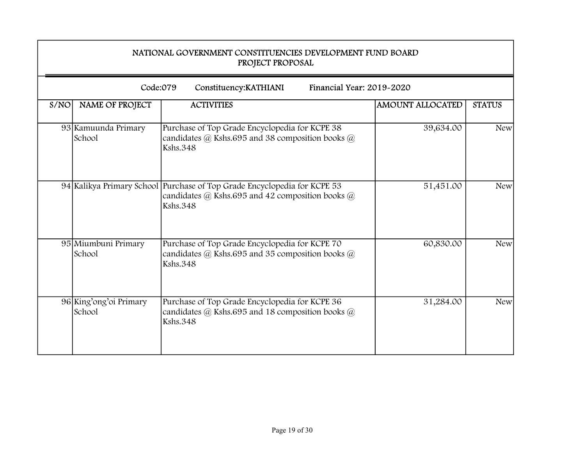|      | NATIONAL GOVERNMENT CONSTITUENCIES DEVELOPMENT FUND BOARD<br>PROJECT PROPOSAL |                                                                                                                                                     |                         |               |
|------|-------------------------------------------------------------------------------|-----------------------------------------------------------------------------------------------------------------------------------------------------|-------------------------|---------------|
|      | Code:079                                                                      | Financial Year: 2019-2020<br>Constituency: KATHIANI                                                                                                 |                         |               |
| S/NO | <b>NAME OF PROJECT</b>                                                        | <b>ACTIVITIES</b>                                                                                                                                   | <b>AMOUNT ALLOCATED</b> | <b>STATUS</b> |
|      | 93 Kamuunda Primary<br>School                                                 | Purchase of Top Grade Encyclopedia for KCPE 38<br>candidates $\omega$ Kshs.695 and 38 composition books $\omega$<br><b>Kshs.348</b>                 | 39,634.00               | <b>New</b>    |
|      |                                                                               | 94 Kalikya Primary School Purchase of Top Grade Encyclopedia for KCPE 53<br>candidates $@$ Kshs.695 and 42 composition books $@$<br><b>Kshs.348</b> | 51,451.00               | <b>New</b>    |
|      | 95 Miumbuni Primary<br>School                                                 | Purchase of Top Grade Encyclopedia for KCPE 70<br>candidates @ Kshs.695 and 35 composition books @<br><b>Kshs.348</b>                               | 60,830.00               | <b>New</b>    |
|      | 96 King'ong'oi Primary<br>School                                              | Purchase of Top Grade Encyclopedia for KCPE 36<br>candidates $(a)$ Kshs.695 and 18 composition books $(a)$<br><b>Kshs.348</b>                       | 31,284.00               | <b>New</b>    |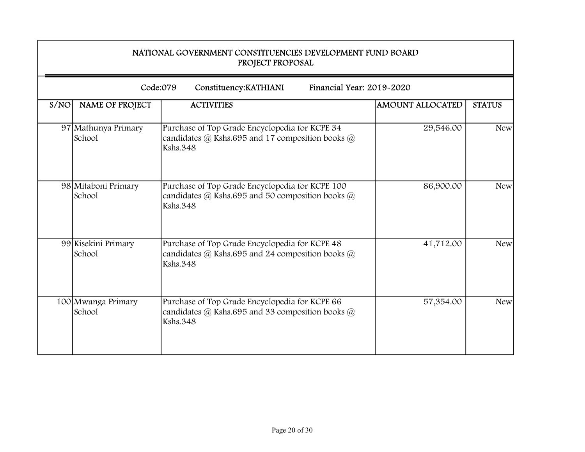|      | NATIONAL GOVERNMENT CONSTITUENCIES DEVELOPMENT FUND BOARD<br>PROJECT PROPOSAL |                                                                                                                                     |                         |               |  |
|------|-------------------------------------------------------------------------------|-------------------------------------------------------------------------------------------------------------------------------------|-------------------------|---------------|--|
|      |                                                                               | Code:079<br>Financial Year: 2019-2020<br>Constituency: KATHIANI                                                                     |                         |               |  |
| S/NO | <b>NAME OF PROJECT</b>                                                        | <b>ACTIVITIES</b>                                                                                                                   | <b>AMOUNT ALLOCATED</b> | <b>STATUS</b> |  |
|      | 97 Mathunya Primary<br>School                                                 | Purchase of Top Grade Encyclopedia for KCPE 34<br>candidates $\omega$ Kshs.695 and 17 composition books $\omega$<br><b>Kshs.348</b> | 29,546.00               | <b>New</b>    |  |
|      | 98 Mitaboni Primary<br>School                                                 | Purchase of Top Grade Encyclopedia for KCPE 100<br>candidates $@$ Kshs.695 and 50 composition books $@$<br><b>Kshs.348</b>          | 86,900.00               | <b>New</b>    |  |
|      | 99 Kisekini Primary<br>School                                                 | Purchase of Top Grade Encyclopedia for KCPE 48<br>candidates $@$ Kshs.695 and 24 composition books $@$<br><b>Kshs.348</b>           | 41,712.00               | <b>New</b>    |  |
|      | 100 Mwanga Primary<br>School                                                  | Purchase of Top Grade Encyclopedia for KCPE 66<br>candidates $(a)$ Kshs.695 and 33 composition books $(a)$<br><b>Kshs.348</b>       | 57,354.00               | <b>New</b>    |  |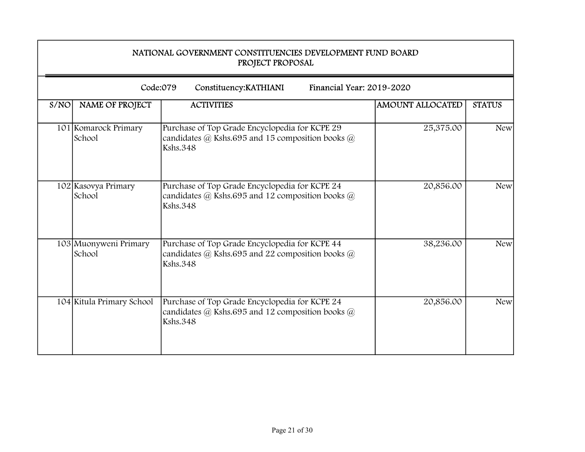|      | NATIONAL GOVERNMENT CONSTITUENCIES DEVELOPMENT FUND BOARD<br>PROJECT PROPOSAL |                                                                                                                                     |                         |               |  |
|------|-------------------------------------------------------------------------------|-------------------------------------------------------------------------------------------------------------------------------------|-------------------------|---------------|--|
|      |                                                                               | Code:079<br>Financial Year: 2019-2020<br>Constituency: KATHIANI                                                                     |                         |               |  |
| S/NO | <b>NAME OF PROJECT</b>                                                        | <b>ACTIVITIES</b>                                                                                                                   | <b>AMOUNT ALLOCATED</b> | <b>STATUS</b> |  |
|      | 101 Komarock Primary<br>School                                                | Purchase of Top Grade Encyclopedia for KCPE 29<br>candidates $\omega$ Kshs.695 and 15 composition books $\omega$<br><b>Kshs.348</b> | 25,375.00               | <b>New</b>    |  |
|      | 102 Kasovya Primary<br>School                                                 | Purchase of Top Grade Encyclopedia for KCPE 24<br>candidates $@$ Kshs.695 and 12 composition books $@$<br><b>Kshs.348</b>           | 20,856.00               | <b>New</b>    |  |
|      | 103 Muonyweni Primary<br>School                                               | Purchase of Top Grade Encyclopedia for KCPE 44<br>candidates $@$ Kshs.695 and 22 composition books $@$<br><b>Kshs.348</b>           | 38,236.00               | <b>New</b>    |  |
|      | 104 Kitula Primary School                                                     | Purchase of Top Grade Encyclopedia for KCPE 24<br>candidates @ Kshs.695 and 12 composition books @<br><b>Kshs.348</b>               | 20,856.00               | <b>New</b>    |  |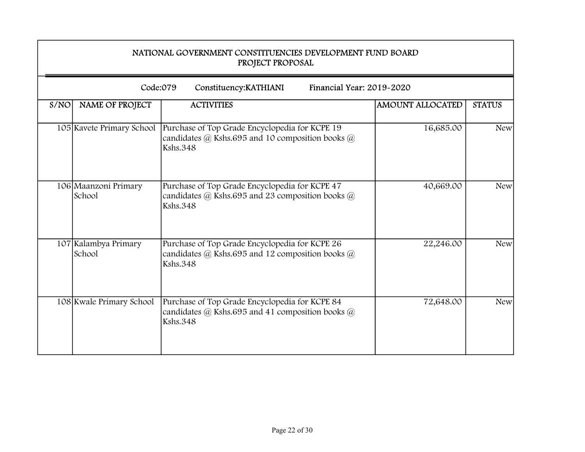|      | NATIONAL GOVERNMENT CONSTITUENCIES DEVELOPMENT FUND BOARD<br>PROJECT PROPOSAL |                                                                                                                                     |                         |               |  |  |
|------|-------------------------------------------------------------------------------|-------------------------------------------------------------------------------------------------------------------------------------|-------------------------|---------------|--|--|
|      | Code:079<br>Financial Year: 2019-2020<br>Constituency: KATHIANI               |                                                                                                                                     |                         |               |  |  |
| S/NO | NAME OF PROJECT                                                               | <b>ACTIVITIES</b>                                                                                                                   | <b>AMOUNT ALLOCATED</b> | <b>STATUS</b> |  |  |
|      | 105 Kavete Primary School                                                     | Purchase of Top Grade Encyclopedia for KCPE 19<br>candidates @ Kshs.695 and 10 composition books @<br><b>Kshs.348</b>               | 16,685.00               | <b>New</b>    |  |  |
|      | 106 Maanzoni Primary<br>School                                                | Purchase of Top Grade Encyclopedia for KCPE 47<br>candidates $\omega$ Kshs.695 and 23 composition books $\omega$<br><b>Kshs.348</b> | 40,669.00               | <b>New</b>    |  |  |
|      | 107 Kalambya Primary<br>School                                                | Purchase of Top Grade Encyclopedia for KCPE 26<br>candidates @ Kshs.695 and 12 composition books @<br><b>Kshs.348</b>               | 22,246.00               | <b>New</b>    |  |  |
|      | 108 Kwale Primary School                                                      | Purchase of Top Grade Encyclopedia for KCPE 84<br>candidates $@$ Kshs.695 and 41 composition books $@$<br><b>Kshs.348</b>           | 72,648.00               | <b>New</b>    |  |  |

÷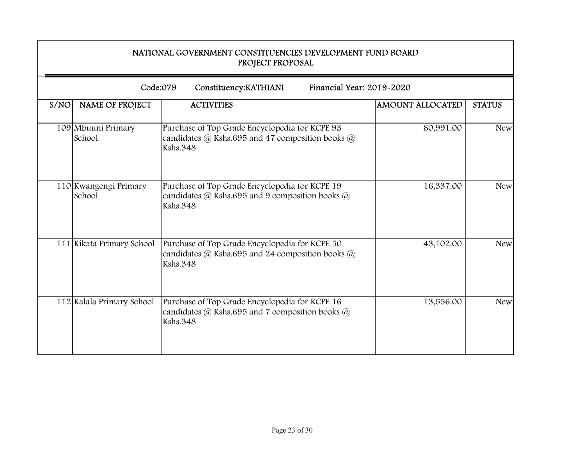|      | NATIONAL GOVERNMENT CONSTITUENCIES DEVELOPMENT FUND BOARD<br>PROJECT PROPOSAL |                                                                                                                           |                         |               |  |
|------|-------------------------------------------------------------------------------|---------------------------------------------------------------------------------------------------------------------------|-------------------------|---------------|--|
|      | Code:079                                                                      | Financial Year: 2019-2020<br>Constituency: KATHIANI                                                                       |                         |               |  |
| S/NO | <b>NAME OF PROJECT</b>                                                        | <b>ACTIVITIES</b>                                                                                                         | <b>AMOUNT ALLOCATED</b> | <b>STATUS</b> |  |
|      | 109 Mbuuni Primary<br>School                                                  | Purchase of Top Grade Encyclopedia for KCPE 93<br>candidates $@$ Kshs.695 and 47 composition books $@$<br><b>Kshs.348</b> | 80,991.00               | <b>New</b>    |  |
|      | 110 Kwangengi Primary<br>School                                               | Purchase of Top Grade Encyclopedia for KCPE 19<br>candidates @ Kshs.695 and 9 composition books @<br><b>Kshs.348</b>      | 16,337.00               | <b>New</b>    |  |
|      | 111 Kikata Primary School                                                     | Purchase of Top Grade Encyclopedia for KCPE 50<br>candidates $@$ Kshs.695 and 24 composition books $@$<br><b>Kshs.348</b> | 43,102.00               | <b>New</b>    |  |
|      | 112 Kalala Primary School                                                     | Purchase of Top Grade Encyclopedia for KCPE 16<br>candidates @ Kshs.695 and 7 composition books @<br><b>Kshs.348</b>      | 13,556.00               | <b>New</b>    |  |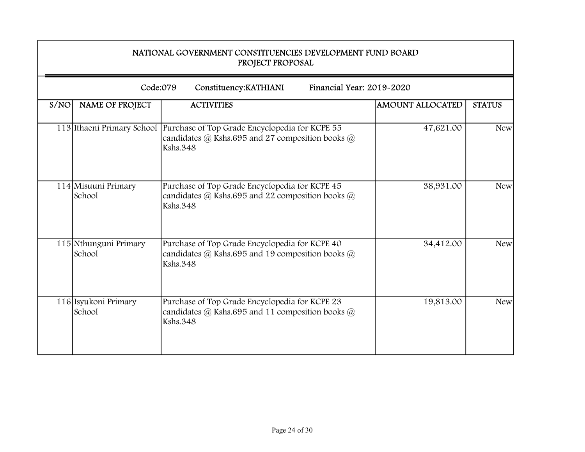|      | NATIONAL GOVERNMENT CONSTITUENCIES DEVELOPMENT FUND BOARD<br>PROJECT PROPOSAL |                                                                                                                                                                  |                         |               |
|------|-------------------------------------------------------------------------------|------------------------------------------------------------------------------------------------------------------------------------------------------------------|-------------------------|---------------|
|      | Code:079                                                                      | Financial Year: 2019-2020<br>Constituency: KATHIANI                                                                                                              |                         |               |
| S/NO | <b>NAME OF PROJECT</b>                                                        | <b>ACTIVITIES</b>                                                                                                                                                | <b>AMOUNT ALLOCATED</b> | <b>STATUS</b> |
|      |                                                                               | 113 Ithaeni Primary School   Purchase of Top Grade Encyclopedia for KCPE 55<br>candidates $\omega$ Kshs.695 and 27 composition books $\omega$<br><b>Kshs.348</b> | 47,621.00               | <b>New</b>    |
|      | 114 Misuuni Primary<br>School                                                 | Purchase of Top Grade Encyclopedia for KCPE 45<br>candidates $@$ Kshs.695 and 22 composition books $@$<br><b>Kshs.348</b>                                        | 38,931.00               | <b>New</b>    |
|      | 115 Nthunguni Primary<br>School                                               | Purchase of Top Grade Encyclopedia for KCPE 40<br>candidates $@$ Kshs.695 and 19 composition books $@$<br><b>Kshs.348</b>                                        | 34,412.00               | <b>New</b>    |
|      | 116 Isyukoni Primary<br>School                                                | Purchase of Top Grade Encyclopedia for KCPE 23<br>candidates $(a)$ Kshs.695 and 11 composition books $(a)$<br><b>Kshs.348</b>                                    | 19,813.00               | <b>New</b>    |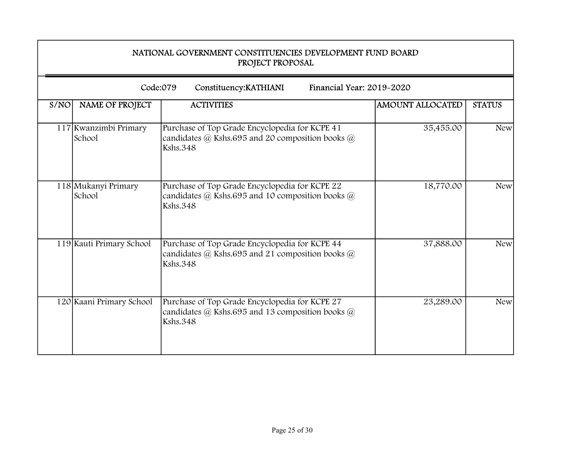|      | NATIONAL GOVERNMENT CONSTITUENCIES DEVELOPMENT FUND BOARD<br>PROJECT PROPOSAL<br>Code:079<br>Financial Year: 2019-2020<br>Constituency: KATHIANI |                                                                                                                                     |                         |               |  |  |
|------|--------------------------------------------------------------------------------------------------------------------------------------------------|-------------------------------------------------------------------------------------------------------------------------------------|-------------------------|---------------|--|--|
|      |                                                                                                                                                  |                                                                                                                                     |                         |               |  |  |
| S/NO | <b>NAME OF PROJECT</b>                                                                                                                           | <b>ACTIVITIES</b>                                                                                                                   | <b>AMOUNT ALLOCATED</b> | <b>STATUS</b> |  |  |
|      | 117 Kwanzimbi Primary<br>School                                                                                                                  | Purchase of Top Grade Encyclopedia for KCPE 41<br>candidates $\omega$ Kshs.695 and 20 composition books $\omega$<br><b>Kshs.348</b> | 35,455.00               | <b>New</b>    |  |  |
|      | 118 Mukanyi Primary<br>School                                                                                                                    | Purchase of Top Grade Encyclopedia for KCPE 22<br>candidates $@$ Kshs.695 and 10 composition books $@$<br><b>Kshs.348</b>           | 18,770.00               | <b>New</b>    |  |  |
|      | 119 Kauti Primary School                                                                                                                         | Purchase of Top Grade Encyclopedia for KCPE 44<br>candidates @ Kshs.695 and 21 composition books @<br><b>Kshs.348</b>               | 37,888.00               | <b>New</b>    |  |  |
|      | 120 Kaani Primary School                                                                                                                         | Purchase of Top Grade Encyclopedia for KCPE 27<br>candidates @ Kshs.695 and 13 composition books @<br><b>Kshs.348</b>               | 23,289.00               | <b>New</b>    |  |  |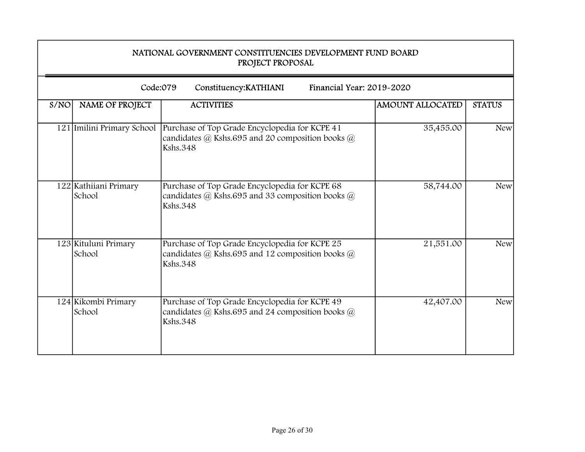|      | NATIONAL GOVERNMENT CONSTITUENCIES DEVELOPMENT FUND BOARD<br>PROJECT PROPOSAL<br>Code:079<br>Financial Year: 2019-2020<br>Constituency: KATHIANI |                                                                                                                                     |                         |               |  |  |
|------|--------------------------------------------------------------------------------------------------------------------------------------------------|-------------------------------------------------------------------------------------------------------------------------------------|-------------------------|---------------|--|--|
|      |                                                                                                                                                  |                                                                                                                                     |                         |               |  |  |
| S/NO | <b>NAME OF PROJECT</b>                                                                                                                           | <b>ACTIVITIES</b>                                                                                                                   | <b>AMOUNT ALLOCATED</b> | <b>STATUS</b> |  |  |
|      | 121 Imilini Primary School                                                                                                                       | Purchase of Top Grade Encyclopedia for KCPE 41<br>candidates $\omega$ Kshs.695 and 20 composition books $\omega$<br><b>Kshs.348</b> | 35,455.00               | <b>New</b>    |  |  |
|      | 122 Kathiiani Primary<br>School                                                                                                                  | Purchase of Top Grade Encyclopedia for KCPE 68<br>candidates $@$ Kshs.695 and 33 composition books $@$<br><b>Kshs.348</b>           | 58,744.00               | <b>New</b>    |  |  |
|      | 123 Kituluni Primary<br>School                                                                                                                   | Purchase of Top Grade Encyclopedia for KCPE 25<br>candidates @ Kshs.695 and 12 composition books @<br><b>Kshs.348</b>               | 21,551.00               | <b>New</b>    |  |  |
|      | 124 Kikombi Primary<br>School                                                                                                                    | Purchase of Top Grade Encyclopedia for KCPE 49<br>candidates $(a)$ Kshs.695 and 24 composition books $(a)$<br><b>Kshs.348</b>       | 42,407.00               | <b>New</b>    |  |  |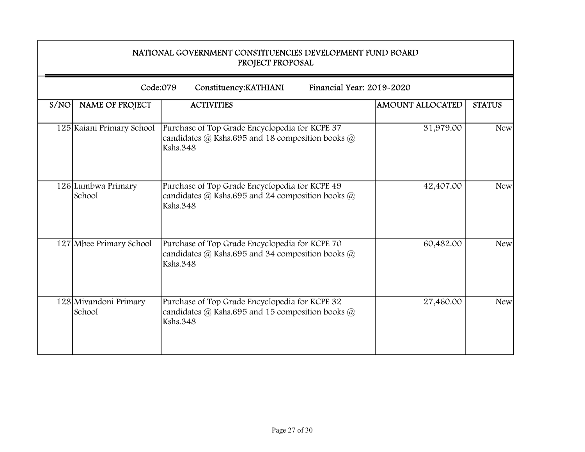|      | NATIONAL GOVERNMENT CONSTITUENCIES DEVELOPMENT FUND BOARD<br>PROJECT PROPOSAL<br>Code:079<br>Financial Year: 2019-2020<br>Constituency: KATHIANI |                                                                                                                               |                         |               |  |  |
|------|--------------------------------------------------------------------------------------------------------------------------------------------------|-------------------------------------------------------------------------------------------------------------------------------|-------------------------|---------------|--|--|
|      |                                                                                                                                                  |                                                                                                                               |                         |               |  |  |
| S/NO | <b>NAME OF PROJECT</b>                                                                                                                           | <b>ACTIVITIES</b>                                                                                                             | <b>AMOUNT ALLOCATED</b> | <b>STATUS</b> |  |  |
|      | 125 Kaiani Primary School                                                                                                                        | Purchase of Top Grade Encyclopedia for KCPE 37<br>candidates @ Kshs.695 and 18 composition books @<br><b>Kshs.348</b>         | 31,979.00               | <b>New</b>    |  |  |
|      | 126 Lumbwa Primary<br>School                                                                                                                     | Purchase of Top Grade Encyclopedia for KCPE 49<br>candidates $@$ Kshs.695 and 24 composition books $@$<br><b>Kshs.348</b>     | 42,407.00               | <b>New</b>    |  |  |
|      | 127 Mbee Primary School                                                                                                                          | Purchase of Top Grade Encyclopedia for KCPE 70<br>candidates @ Kshs.695 and 34 composition books @<br><b>Kshs.348</b>         | 60,482.00               | <b>New</b>    |  |  |
|      | 128 Mivandoni Primary<br>School                                                                                                                  | Purchase of Top Grade Encyclopedia for KCPE 32<br>candidates $(a)$ Kshs.695 and 15 composition books $(a)$<br><b>Kshs.348</b> | 27,460.00               | <b>New</b>    |  |  |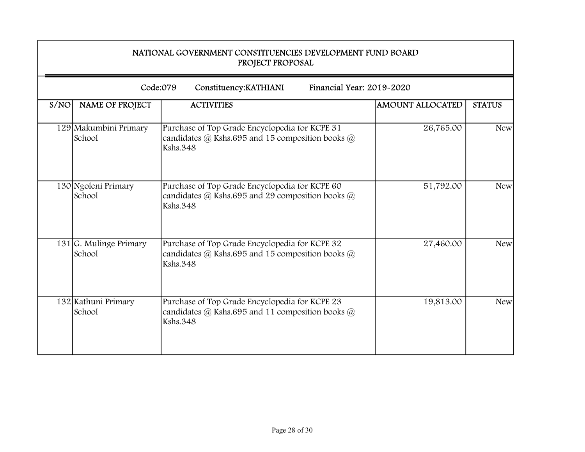|      | NATIONAL GOVERNMENT CONSTITUENCIES DEVELOPMENT FUND BOARD<br>PROJECT PROPOSAL<br>Code:079<br>Financial Year: 2019-2020<br>Constituency: KATHIANI |                                                                                                                                     |                         |               |  |  |
|------|--------------------------------------------------------------------------------------------------------------------------------------------------|-------------------------------------------------------------------------------------------------------------------------------------|-------------------------|---------------|--|--|
|      |                                                                                                                                                  |                                                                                                                                     |                         |               |  |  |
| S/NO | <b>NAME OF PROJECT</b>                                                                                                                           | <b>ACTIVITIES</b>                                                                                                                   | <b>AMOUNT ALLOCATED</b> | <b>STATUS</b> |  |  |
|      | 129 Makumbini Primary<br>School                                                                                                                  | Purchase of Top Grade Encyclopedia for KCPE 31<br>candidates $\omega$ Kshs.695 and 15 composition books $\omega$<br><b>Kshs.348</b> | 26,765.00               | <b>New</b>    |  |  |
|      | 130 Ngoleni Primary<br>School                                                                                                                    | Purchase of Top Grade Encyclopedia for KCPE 60<br>candidates $@$ Kshs.695 and 29 composition books $@$<br><b>Kshs.348</b>           | 51,792.00               | <b>New</b>    |  |  |
|      | $131$ G. Mulinge Primary<br>School                                                                                                               | Purchase of Top Grade Encyclopedia for KCPE 32<br>candidates @ Kshs.695 and 15 composition books @<br><b>Kshs.348</b>               | 27,460.00               | <b>New</b>    |  |  |
|      | 132 Kathuni Primary<br>School                                                                                                                    | Purchase of Top Grade Encyclopedia for KCPE 23<br>candidates @ Kshs.695 and 11 composition books @<br><b>Kshs.348</b>               | 19,813.00               | <b>New</b>    |  |  |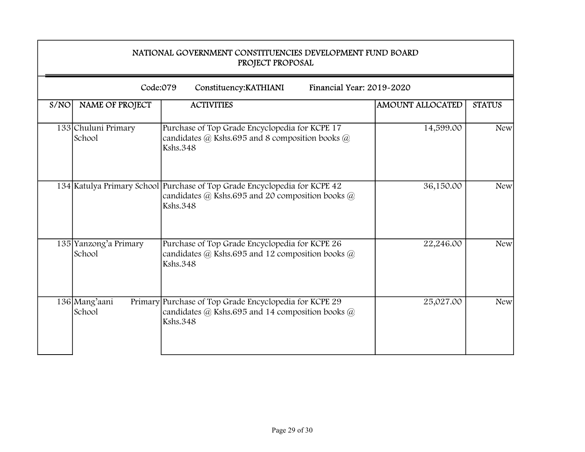|      | NATIONAL GOVERNMENT CONSTITUENCIES DEVELOPMENT FUND BOARD<br>PROJECT PROPOSAL<br>Code:079<br>Financial Year: 2019-2020<br>Constituency: KATHIANI |                                                                                                                                                  |                         |               |  |  |
|------|--------------------------------------------------------------------------------------------------------------------------------------------------|--------------------------------------------------------------------------------------------------------------------------------------------------|-------------------------|---------------|--|--|
|      |                                                                                                                                                  |                                                                                                                                                  |                         |               |  |  |
| S/NO | <b>NAME OF PROJECT</b>                                                                                                                           | <b>ACTIVITIES</b>                                                                                                                                | <b>AMOUNT ALLOCATED</b> | <b>STATUS</b> |  |  |
|      | 133 Chuluni Primary<br>School                                                                                                                    | Purchase of Top Grade Encyclopedia for KCPE 17<br>candidates @ Kshs.695 and 8 composition books @<br><b>Kshs.348</b>                             | 14,599.00               | <b>New</b>    |  |  |
|      |                                                                                                                                                  | 134 Katulya Primary School Purchase of Top Grade Encyclopedia for KCPE 42<br>candidates @ Kshs.695 and 20 composition books @<br><b>Kshs.348</b> | 36,150.00               | <b>New</b>    |  |  |
|      | 135 Yanzong'a Primary<br>School                                                                                                                  | Purchase of Top Grade Encyclopedia for KCPE 26<br>candidates @ Kshs.695 and 12 composition books @<br><b>Kshs.348</b>                            | 22,246.00               | <b>New</b>    |  |  |
|      | 136 Mang'aani<br>School                                                                                                                          | Primary Purchase of Top Grade Encyclopedia for KCPE 29<br>candidates $@$ Kshs.695 and 14 composition books $@$<br><b>Kshs.348</b>                | 25,027.00               | <b>New</b>    |  |  |